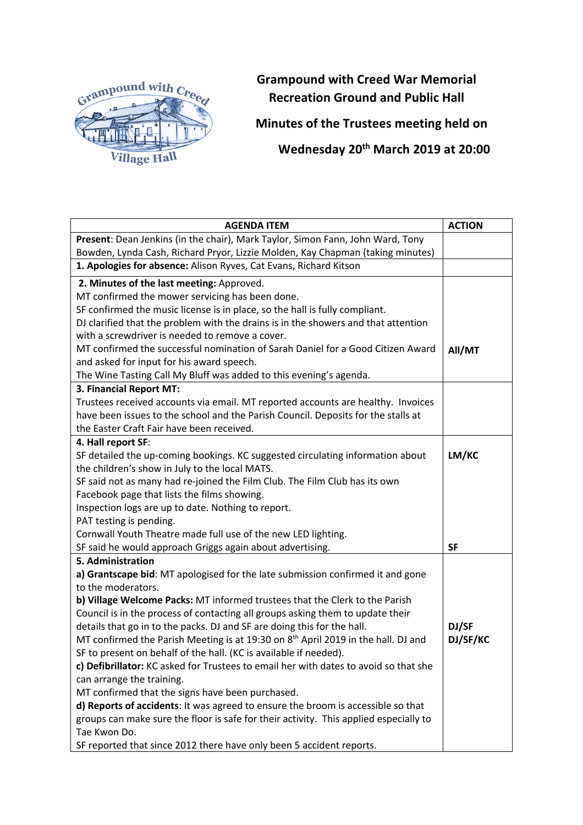

**Grampound with Creed War Memorial Recreation Ground and Public Hall**

**Minutes of the Trustees meeting held on**

**Wednesday 20th March 2019 at 20:00**

| <b>AGENDA ITEM</b>                                                                            | <b>ACTION</b> |
|-----------------------------------------------------------------------------------------------|---------------|
| Present: Dean Jenkins (in the chair), Mark Taylor, Simon Fann, John Ward, Tony                |               |
| Bowden, Lynda Cash, Richard Pryor, Lizzie Molden, Kay Chapman (taking minutes)                |               |
| 1. Apologies for absence: Alison Ryves, Cat Evans, Richard Kitson                             |               |
| 2. Minutes of the last meeting: Approved.                                                     |               |
| MT confirmed the mower servicing has been done.                                               |               |
| SF confirmed the music license is in place, so the hall is fully compliant.                   |               |
| DJ clarified that the problem with the drains is in the showers and that attention            |               |
| with a screwdriver is needed to remove a cover.                                               |               |
| MT confirmed the successful nomination of Sarah Daniel for a Good Citizen Award               | All/MT        |
| and asked for input for his award speech.                                                     |               |
| The Wine Tasting Call My Bluff was added to this evening's agenda.                            |               |
| 3. Financial Report MT:                                                                       |               |
| Trustees received accounts via email. MT reported accounts are healthy. Invoices              |               |
| have been issues to the school and the Parish Council. Deposits for the stalls at             |               |
| the Easter Craft Fair have been received.                                                     |               |
| 4. Hall report SF:                                                                            |               |
| SF detailed the up-coming bookings. KC suggested circulating information about                | LM/KC         |
| the children's show in July to the local MATS.                                                |               |
| SF said not as many had re-joined the Film Club. The Film Club has its own                    |               |
| Facebook page that lists the films showing.                                                   |               |
| Inspection logs are up to date. Nothing to report.                                            |               |
| PAT testing is pending.                                                                       |               |
| Cornwall Youth Theatre made full use of the new LED lighting.                                 |               |
| SF said he would approach Griggs again about advertising.                                     | <b>SF</b>     |
| 5. Administration                                                                             |               |
| a) Grantscape bid: MT apologised for the late submission confirmed it and gone                |               |
| to the moderators.                                                                            |               |
| b) Village Welcome Packs: MT informed trustees that the Clerk to the Parish                   |               |
| Council is in the process of contacting all groups asking them to update their                |               |
| details that go in to the packs. DJ and SF are doing this for the hall.                       | DJ/SF         |
| MT confirmed the Parish Meeting is at 19:30 on 8 <sup>th</sup> April 2019 in the hall. DJ and | DJ/SF/KC      |
| SF to present on behalf of the hall. (KC is available if needed).                             |               |
| c) Defibrillator: KC asked for Trustees to email her with dates to avoid so that she          |               |
| can arrange the training.                                                                     |               |
| MT confirmed that the signs have been purchased.                                              |               |
| d) Reports of accidents: It was agreed to ensure the broom is accessible so that              |               |
| groups can make sure the floor is safe for their activity. This applied especially to         |               |
| Tae Kwon Do.                                                                                  |               |
| SF reported that since 2012 there have only been 5 accident reports.                          |               |